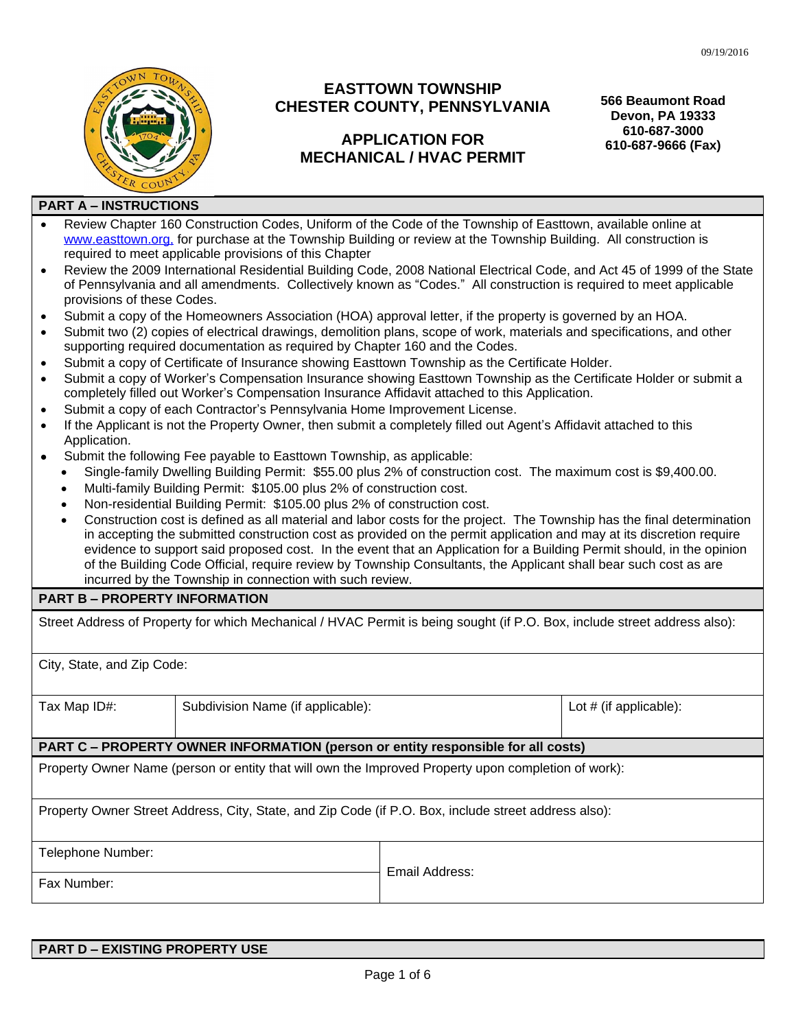

# **EASTTOWN TOWNSHIP CHESTER COUNTY, PENNSYLVANIA**

# **APPLICATION FOR MECHANICAL / HVAC PERMIT**

**566 Beaumont Road Devon, PA 19333 610-687-3000 610-687-9666 (Fax)**

#### **PART A – INSTRUCTIONS**

- Review Chapter 160 Construction Codes, Uniform of the Code of the Township of Easttown, available online at [www.easttown.org,](http://www.easttown.org) for purchase at the Township Building or review at the Township Building. All construction is required to meet applicable provisions of this Chapter
- Review the 2009 International Residential Building Code, 2008 National Electrical Code, and Act 45 of 1999 of the State of Pennsylvania and all amendments. Collectively known as "Codes." All construction is required to meet applicable provisions of these Codes.
- Submit a copy of the Homeowners Association (HOA) approval letter, if the property is governed by an HOA.
- Submit two (2) copies of electrical drawings, demolition plans, scope of work, materials and specifications, and other supporting required documentation as required by Chapter 160 and the Codes.
- Submit a copy of Certificate of Insurance showing Easttown Township as the Certificate Holder.
- Submit a copy of Worker's Compensation Insurance showing Easttown Township as the Certificate Holder or submit a completely filled out Worker's Compensation Insurance Affidavit attached to this Application.
- Submit a copy of each Contractor's Pennsylvania Home Improvement License.
- If the Applicant is not the Property Owner, then submit a completely filled out Agent's Affidavit attached to this Application.
- Submit the following Fee payable to Easttown Township, as applicable:
	- Single-family Dwelling Building Permit: \$55.00 plus 2% of construction cost. The maximum cost is \$9,400.00.
	- Multi-family Building Permit: \$105.00 plus 2% of construction cost.
	- Non-residential Building Permit: \$105.00 plus 2% of construction cost.
	- Construction cost is defined as all material and labor costs for the project. The Township has the final determination in accepting the submitted construction cost as provided on the permit application and may at its discretion require evidence to support said proposed cost. In the event that an Application for a Building Permit should, in the opinion of the Building Code Official, require review by Township Consultants, the Applicant shall bear such cost as are incurred by the Township in connection with such review.

## **PART B – PROPERTY INFORMATION**

Street Address of Property for which Mechanical / HVAC Permit is being sought (if P.O. Box, include street address also):

City, State, and Zip Code:

Tax Map ID#: Subdivision Name (if applicable):  $\vert$  Lot # (if applicable):

#### **PART C – PROPERTY OWNER INFORMATION (person or entity responsible for all costs)**

Property Owner Name (person or entity that will own the Improved Property upon completion of work):

Property Owner Street Address, City, State, and Zip Code (if P.O. Box, include street address also):

Telephone Number:

Fax Number:

Email Address:

| <b>PART D – EXISTING PROPERTY USE</b> |
|---------------------------------------|
|                                       |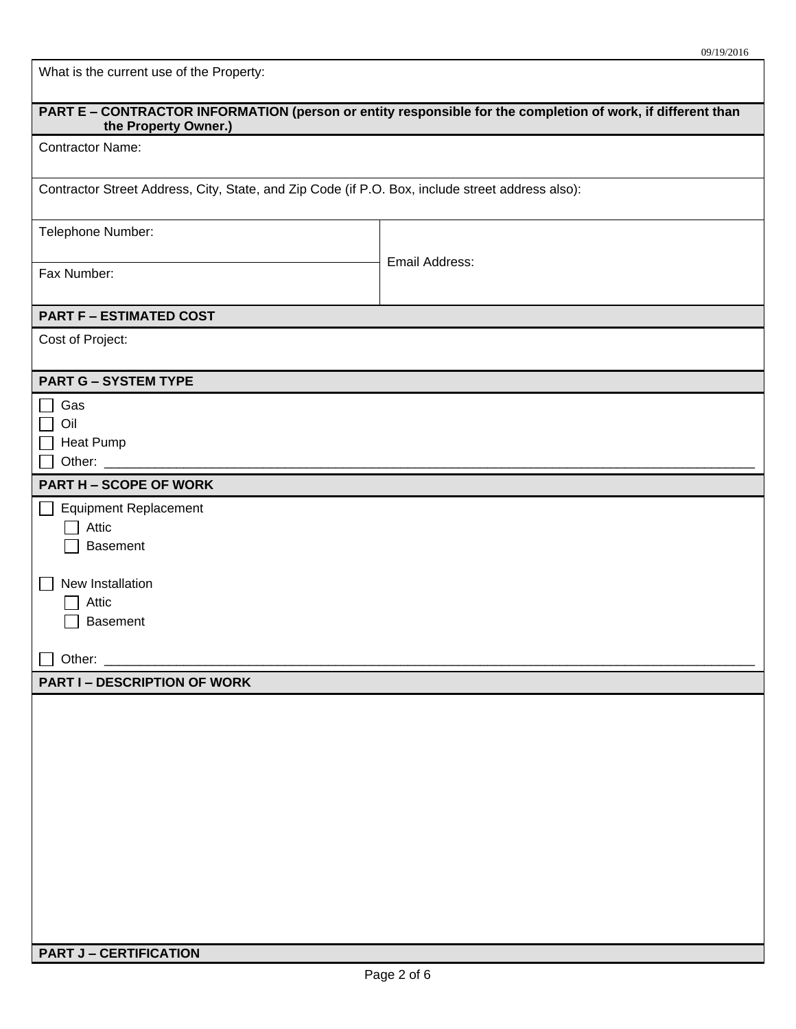What is the current use of the Property:

| PART E - CONTRACTOR INFORMATION (person or entity responsible for the completion of work, if different than<br>the Property Owner.) |                |  |  |  |  |
|-------------------------------------------------------------------------------------------------------------------------------------|----------------|--|--|--|--|
| <b>Contractor Name:</b>                                                                                                             |                |  |  |  |  |
| Contractor Street Address, City, State, and Zip Code (if P.O. Box, include street address also):                                    |                |  |  |  |  |
| Telephone Number:                                                                                                                   |                |  |  |  |  |
| Fax Number:                                                                                                                         | Email Address: |  |  |  |  |
| <b>PART F - ESTIMATED COST</b>                                                                                                      |                |  |  |  |  |
| Cost of Project:                                                                                                                    |                |  |  |  |  |
| <b>PART G - SYSTEM TYPE</b>                                                                                                         |                |  |  |  |  |
| Gas                                                                                                                                 |                |  |  |  |  |
| Oil<br>Heat Pump                                                                                                                    |                |  |  |  |  |
| Other: $\_\_$                                                                                                                       |                |  |  |  |  |
| <b>PART H - SCOPE OF WORK</b>                                                                                                       |                |  |  |  |  |
| <b>Equipment Replacement</b>                                                                                                        |                |  |  |  |  |
| Attic                                                                                                                               |                |  |  |  |  |
| <b>Basement</b>                                                                                                                     |                |  |  |  |  |
| New Installation                                                                                                                    |                |  |  |  |  |
| Attic                                                                                                                               |                |  |  |  |  |
| <b>Basement</b>                                                                                                                     |                |  |  |  |  |
| Other:                                                                                                                              |                |  |  |  |  |
| <b>PART I – DESCRIPTION OF WORK</b>                                                                                                 |                |  |  |  |  |
|                                                                                                                                     |                |  |  |  |  |
|                                                                                                                                     |                |  |  |  |  |
|                                                                                                                                     |                |  |  |  |  |
|                                                                                                                                     |                |  |  |  |  |
|                                                                                                                                     |                |  |  |  |  |
|                                                                                                                                     |                |  |  |  |  |
|                                                                                                                                     |                |  |  |  |  |
|                                                                                                                                     |                |  |  |  |  |
|                                                                                                                                     |                |  |  |  |  |
|                                                                                                                                     |                |  |  |  |  |
| <b>PART J - CERTIFICATION</b>                                                                                                       |                |  |  |  |  |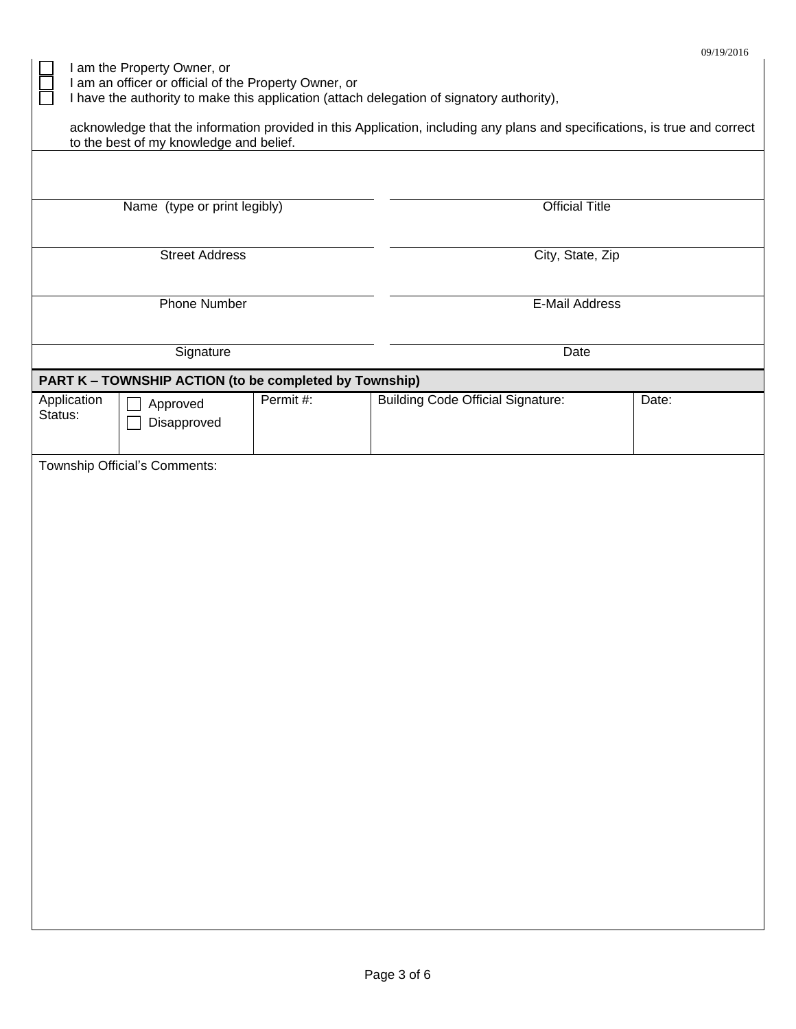I am the Property Owner, or

I am an officer or official of the Property Owner, or

I have the authority to make this application (attach delegation of signatory authority),

| ┙<br>.<br>acknowledge that the information provided in this Application, including any plans and specifications, is true and correct<br>to the best of my knowledge and belief. |          |                                          |                                                        |  |  |  |
|---------------------------------------------------------------------------------------------------------------------------------------------------------------------------------|----------|------------------------------------------|--------------------------------------------------------|--|--|--|
|                                                                                                                                                                                 |          |                                          |                                                        |  |  |  |
|                                                                                                                                                                                 |          | <b>Official Title</b>                    |                                                        |  |  |  |
| <b>Street Address</b>                                                                                                                                                           |          | City, State, Zip                         |                                                        |  |  |  |
| <b>Phone Number</b>                                                                                                                                                             |          | <b>E-Mail Address</b>                    |                                                        |  |  |  |
| Signature                                                                                                                                                                       |          | Date                                     |                                                        |  |  |  |
|                                                                                                                                                                                 |          |                                          |                                                        |  |  |  |
| Approved<br>Disapproved                                                                                                                                                         | Permit#: | <b>Building Code Official Signature:</b> | Date:                                                  |  |  |  |
| Township Official's Comments:                                                                                                                                                   |          |                                          |                                                        |  |  |  |
|                                                                                                                                                                                 |          | Name (type or print legibly)             | PART K - TOWNSHIP ACTION (to be completed by Township) |  |  |  |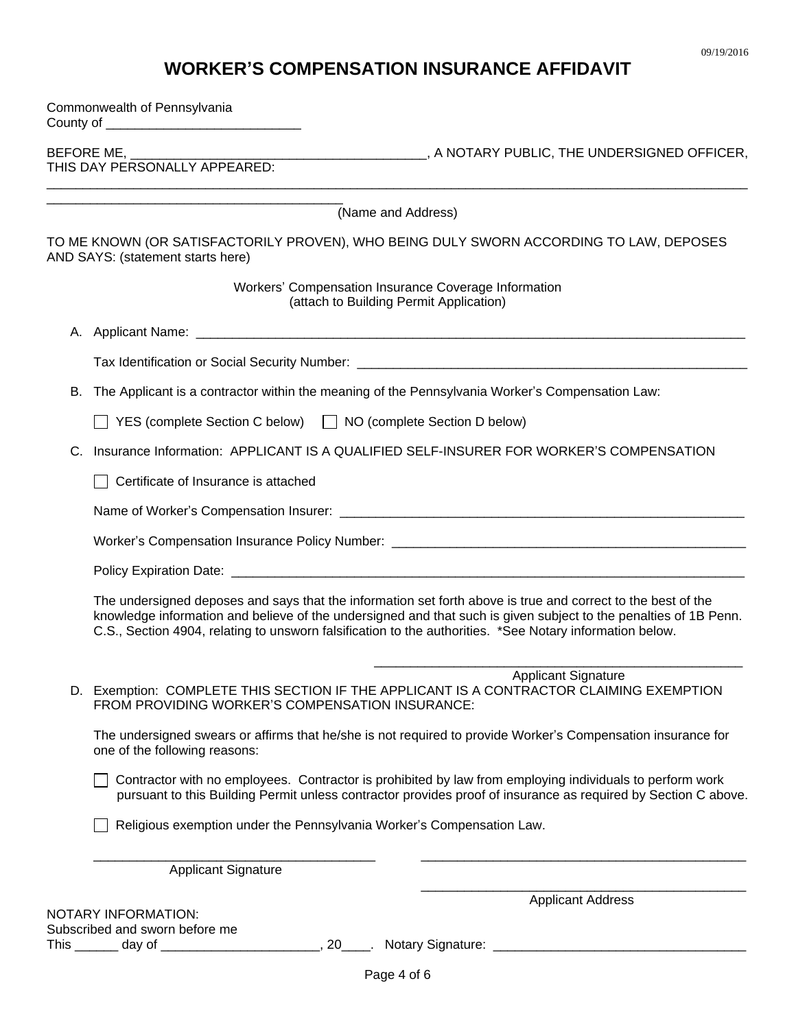# **WORKER'S COMPENSATION INSURANCE AFFIDAVIT**

| Commonwealth of Pennsylvania |                                                                                                                                                                                                                            |                                                                                                                                                                                                                                  |  |  |  |
|------------------------------|----------------------------------------------------------------------------------------------------------------------------------------------------------------------------------------------------------------------------|----------------------------------------------------------------------------------------------------------------------------------------------------------------------------------------------------------------------------------|--|--|--|
|                              |                                                                                                                                                                                                                            |                                                                                                                                                                                                                                  |  |  |  |
|                              |                                                                                                                                                                                                                            | (Name and Address)                                                                                                                                                                                                               |  |  |  |
|                              | AND SAYS: (statement starts here)                                                                                                                                                                                          | TO ME KNOWN (OR SATISFACTORILY PROVEN), WHO BEING DULY SWORN ACCORDING TO LAW, DEPOSES                                                                                                                                           |  |  |  |
|                              |                                                                                                                                                                                                                            | Workers' Compensation Insurance Coverage Information<br>(attach to Building Permit Application)                                                                                                                                  |  |  |  |
|                              |                                                                                                                                                                                                                            |                                                                                                                                                                                                                                  |  |  |  |
|                              |                                                                                                                                                                                                                            | Tax Identification or Social Security Number: ___________________________________                                                                                                                                                |  |  |  |
| В.                           | The Applicant is a contractor within the meaning of the Pennsylvania Worker's Compensation Law:                                                                                                                            |                                                                                                                                                                                                                                  |  |  |  |
|                              | YES (complete Section C below) □ NO (complete Section D below)                                                                                                                                                             |                                                                                                                                                                                                                                  |  |  |  |
| C.                           |                                                                                                                                                                                                                            | Insurance Information: APPLICANT IS A QUALIFIED SELF-INSURER FOR WORKER'S COMPENSATION                                                                                                                                           |  |  |  |
|                              | Certificate of Insurance is attached                                                                                                                                                                                       |                                                                                                                                                                                                                                  |  |  |  |
|                              |                                                                                                                                                                                                                            |                                                                                                                                                                                                                                  |  |  |  |
|                              |                                                                                                                                                                                                                            |                                                                                                                                                                                                                                  |  |  |  |
|                              |                                                                                                                                                                                                                            |                                                                                                                                                                                                                                  |  |  |  |
|                              | C.S., Section 4904, relating to unsworn falsification to the authorities. *See Notary information below.                                                                                                                   | The undersigned deposes and says that the information set forth above is true and correct to the best of the<br>knowledge information and believe of the undersigned and that such is given subject to the penalties of 1B Penn. |  |  |  |
|                              | FROM PROVIDING WORKER'S COMPENSATION INSURANCE:                                                                                                                                                                            | <b>Applicant Signature</b><br>D. Exemption: COMPLETE THIS SECTION IF THE APPLICANT IS A CONTRACTOR CLAIMING EXEMPTION                                                                                                            |  |  |  |
|                              | one of the following reasons:                                                                                                                                                                                              | The undersigned swears or affirms that he/she is not required to provide Worker's Compensation insurance for                                                                                                                     |  |  |  |
|                              | Contractor with no employees. Contractor is prohibited by law from employing individuals to perform work<br>pursuant to this Building Permit unless contractor provides proof of insurance as required by Section C above. |                                                                                                                                                                                                                                  |  |  |  |
|                              | Religious exemption under the Pennsylvania Worker's Compensation Law.                                                                                                                                                      |                                                                                                                                                                                                                                  |  |  |  |
|                              | <b>Applicant Signature</b>                                                                                                                                                                                                 |                                                                                                                                                                                                                                  |  |  |  |
|                              | NOTARY INFORMATION:<br>Subscribed and sworn before me                                                                                                                                                                      | <b>Applicant Address</b>                                                                                                                                                                                                         |  |  |  |
|                              |                                                                                                                                                                                                                            |                                                                                                                                                                                                                                  |  |  |  |